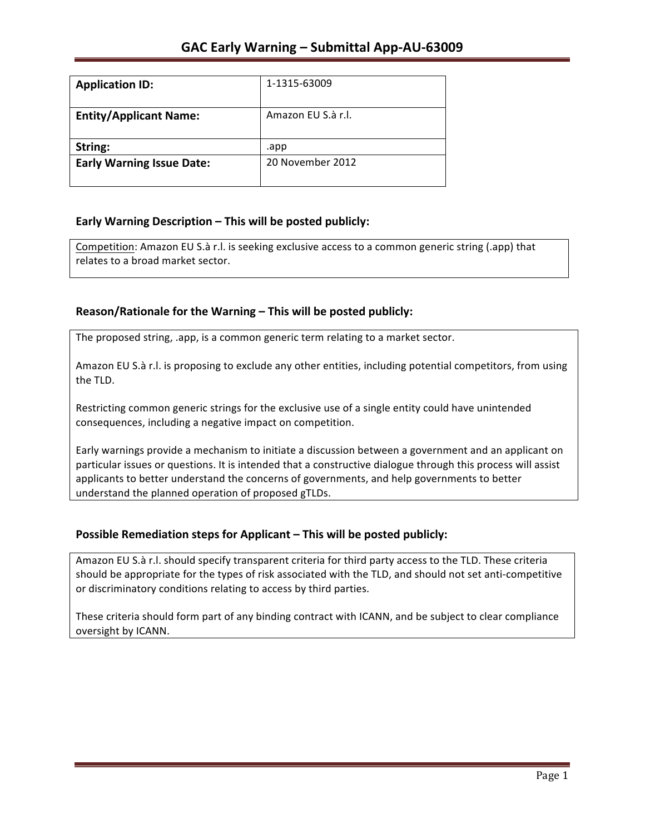| <b>Application ID:</b>           | 1-1315-63009       |
|----------------------------------|--------------------|
| <b>Entity/Applicant Name:</b>    | Amazon EU S.à r.l. |
| String:                          | .app               |
| <b>Early Warning Issue Date:</b> | 20 November 2012   |
|                                  |                    |

### **Early Warning Description – This will be posted publicly:**

Competition: Amazon EU S.à r.l. is seeking exclusive access to a common generic string (.app) that relates to a broad market sector.

### Reason/Rationale for the Warning – This will be posted publicly:

The proposed string, .app, is a common generic term relating to a market sector.

Amazon EU S.à r.l. is proposing to exclude any other entities, including potential competitors, from using the TLD.

Restricting common generic strings for the exclusive use of a single entity could have unintended consequences, including a negative impact on competition.

Early warnings provide a mechanism to initiate a discussion between a government and an applicant on particular issues or questions. It is intended that a constructive dialogue through this process will assist applicants to better understand the concerns of governments, and help governments to better understand the planned operation of proposed gTLDs.

### **Possible Remediation steps for Applicant – This will be posted publicly:**

Amazon EU S.à r.l. should specify transparent criteria for third party access to the TLD. These criteria should be appropriate for the types of risk associated with the TLD, and should not set anti-competitive or discriminatory conditions relating to access by third parties.

These criteria should form part of any binding contract with ICANN, and be subject to clear compliance oversight by ICANN.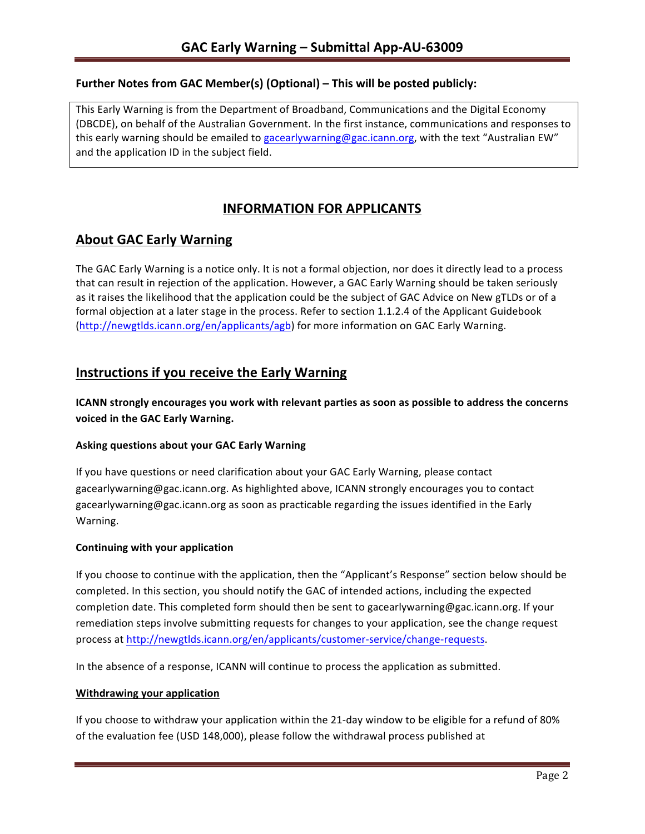### **Further Notes from GAC Member(s) (Optional) – This will be posted publicly:**

This Early Warning is from the Department of Broadband, Communications and the Digital Economy (DBCDE), on behalf of the Australian Government. In the first instance, communications and responses to this early warning should be emailed to gacearlywarning@gac.icann.org, with the text "Australian EW" and the application ID in the subject field.

# **INFORMATION FOR APPLICANTS**

## **About GAC Early Warning**

The GAC Early Warning is a notice only. It is not a formal objection, nor does it directly lead to a process that can result in rejection of the application. However, a GAC Early Warning should be taken seriously as it raises the likelihood that the application could be the subject of GAC Advice on New gTLDs or of a formal objection at a later stage in the process. Refer to section 1.1.2.4 of the Applicant Guidebook (http://newgtlds.icann.org/en/applicants/agb) for more information on GAC Early Warning.

## **Instructions if you receive the Early Warning**

**ICANN** strongly encourages you work with relevant parties as soon as possible to address the concerns **voiced in the GAC Early Warning.** 

### **Asking questions about your GAC Early Warning**

If you have questions or need clarification about your GAC Early Warning, please contact gacearlywarning@gac.icann.org. As highlighted above, ICANN strongly encourages you to contact gacearlywarning@gac.icann.org as soon as practicable regarding the issues identified in the Early Warning. 

### **Continuing with your application**

If you choose to continue with the application, then the "Applicant's Response" section below should be completed. In this section, you should notify the GAC of intended actions, including the expected completion date. This completed form should then be sent to gacearlywarning@gac.icann.org. If your remediation steps involve submitting requests for changes to your application, see the change request process at http://newgtlds.icann.org/en/applicants/customer-service/change-requests.

In the absence of a response, ICANN will continue to process the application as submitted.

#### **Withdrawing your application**

If you choose to withdraw your application within the 21-day window to be eligible for a refund of 80% of the evaluation fee (USD 148,000), please follow the withdrawal process published at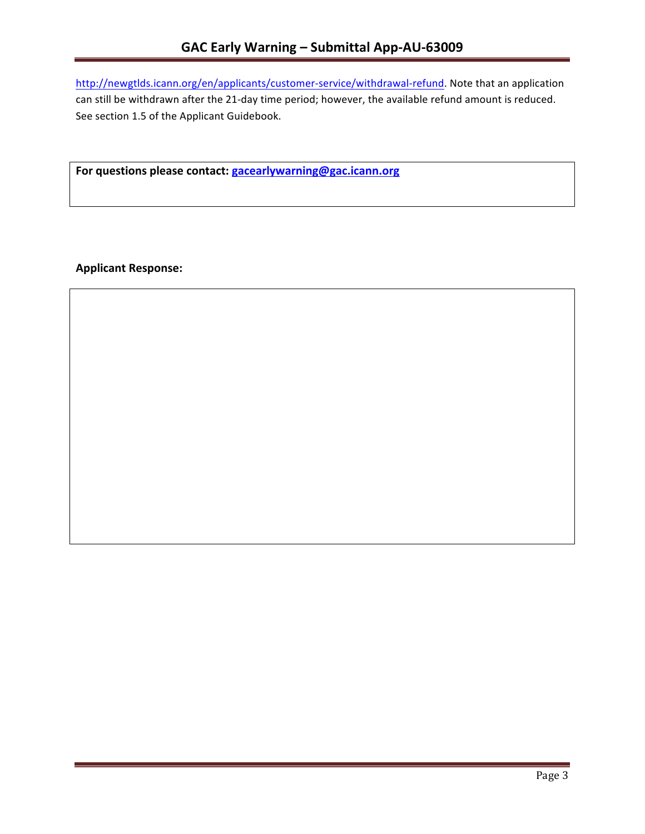http://newgtlds.icann.org/en/applicants/customer-service/withdrawal-refund. Note that an application can still be withdrawn after the 21-day time period; however, the available refund amount is reduced. See section 1.5 of the Applicant Guidebook.

For questions please contact: gacearlywarning@gac.icann.org

**Applicant Response:**